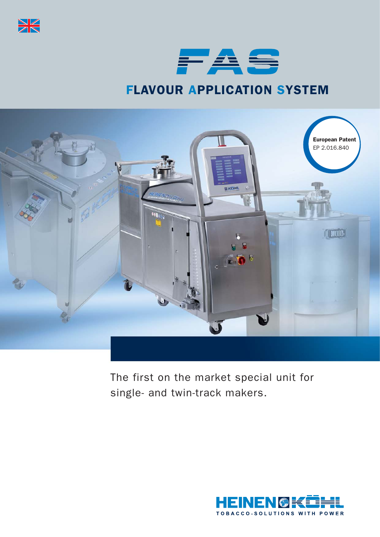



# FLAVOUR APPLICATION SYSTEM



The first on the market special unit for single- and twin-track makers.

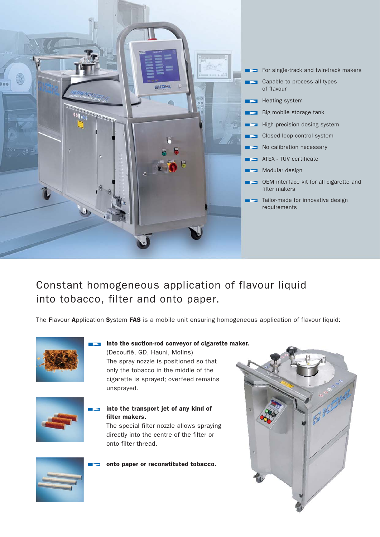

- For single-track and twin-track makers
- Capable to process all types of flavour
- Heating system
- Big mobile storage tank
- $\blacksquare$  High precision dosing system
- Closed loop control system
- No calibration necessary
- ATEX TÜV certificate
- Modular design
- **OEM** interface kit for all cigarette and filter makers
- Tailor-made for innovative design requirements

## Constant homogeneous application of flavour liquid into tobacco, filter and onto paper.

The Flavour Application System FAS is a mobile unit ensuring homogeneous application of flavour liquid:



#### into the suction-rod conveyor of cigarette maker.

(Decouflé, GD, Hauni, Molins) The spray nozzle is positioned so that only the tobacco in the middle of the cigarette is sprayed; overfeed remains unsprayed.



#### into the transport jet of any kind of filter makers.

The special filter nozzle allows spraying directly into the centre of the filter or onto filter thread.

onto paper or reconstituted tobacco.



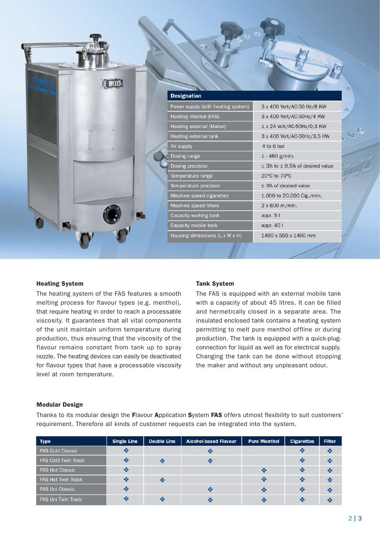|  | <b>Designation</b>                 |                                         |
|--|------------------------------------|-----------------------------------------|
|  | Power supply (with heating system) | 3 x 400 Volt/AC-50 Hz/8 KW              |
|  | Heating internal (FAS)             | 3 x 400 Volt/AC-50Hz/4 KW               |
|  | Heating external (Maker)           | 1 x 24 Volt/AC-50Hz/0,3 KW              |
|  | Heating external tank              | 3 x 400 Volt/AC-50Hz/3,5 KW             |
|  | Air supply                         | 4 to 6 bar                              |
|  | Dosing range                       | 1 - 480 g/min.                          |
|  | Dosing precision                   | $\pm$ 3% to $\pm$ 0,5% of desired value |
|  | Temperature range                  | 20°C to 70°C                            |
|  | Temperature precision              | ± 3% of desired value                   |
|  | Machine speed cigarettes           | 1.000 to 20.000 Cig./min.               |
|  | Machine speed filters              | 2 x 600 m/min.                          |
|  | Capacity working tank              | appr. 5 l                               |
|  | Capacity mobile tank               | appr. 45 l                              |
|  | Housing dimensions (L x W x H)     | 1400 x 550 x 1400 mm                    |

#### Heating System

The heating system of the FAS features a smooth melting process for flavour types (e.g. menthol), that require heating in order to reach a processable viscosity. It guarantees that all vital components of the unit maintain uniform temperature during production, thus ensuring that the viscosity of the flavour remains constant from tank up to spray nozzle. The heating devices can easily be deactivated for flavour types that have a processable viscosity level at room temperature.

#### Tank System

The FAS is equipped with an external mobile tank with a capacity of about 45 litres. It can be filled and hermetically closed in a separate area. The insulated enclosed tank contains a heating system permitting to melt pure menthol offline or during production. The tank is equipped with a quick-plugconnection for liquid as well as for electrical supply. Changing the tank can be done without stopping the maker and without any unpleasant odour.

#### Modular Design

Thanks to its modular design the Flavour Application System FAS offers utmost flexibility to suit customers' requirement. Therefore all kinds of customer requests can be integrated into the system.

| <b>Type</b>                | <b>Single Line</b>      | <b>Double Line</b> | <b>Alcohol-based Flavour</b> | <b>Pure Menthol</b> | <b>Cigarettes</b> | <b>Filter</b> |
|----------------------------|-------------------------|--------------------|------------------------------|---------------------|-------------------|---------------|
| <b>FAS Cold Classic</b>    | $\mathbf{e}_\mathrm{a}$ |                    | ❖                            |                     | <b>SE</b>         | ❖             |
| <b>FAS Cold Twin Track</b> | o de                    |                    | $\infty$                     |                     |                   | ❖             |
| <b>FAS Hot Classic</b>     | ❖                       |                    |                              | ❖                   |                   | ٠             |
| <b>FAS Hot Twin Track</b>  | ÷                       |                    |                              | ❖                   | <b>SO</b>         | ❖             |
| <b>FAS Uni Classic</b>     | 榛                       |                    | ٠                            | ❖                   |                   |               |
| <b>FAS Uni Twin Track</b>  | 幸                       |                    | ×                            |                     | $\bullet$         | ×             |